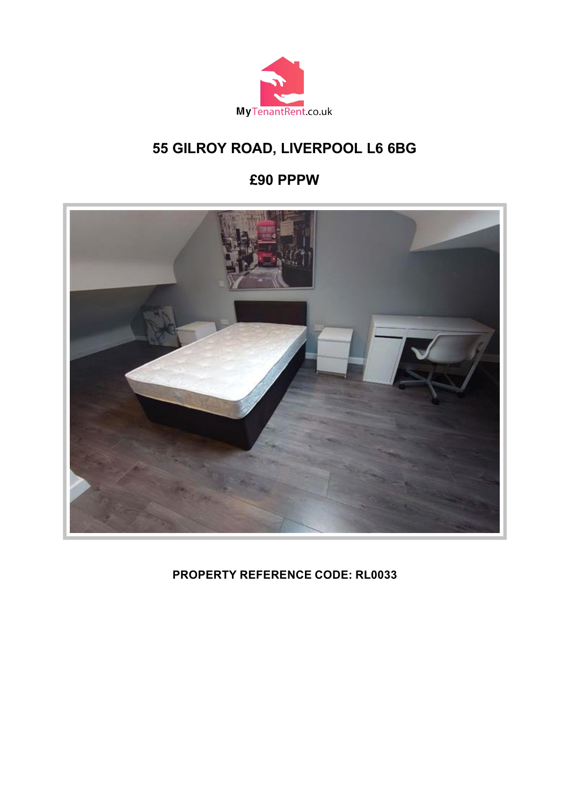

# 55 GILROY ROAD, LIVERPOOL L6 6BG

## £90 PPPW



**PROPERTY REFERENCE CODE: RL0033**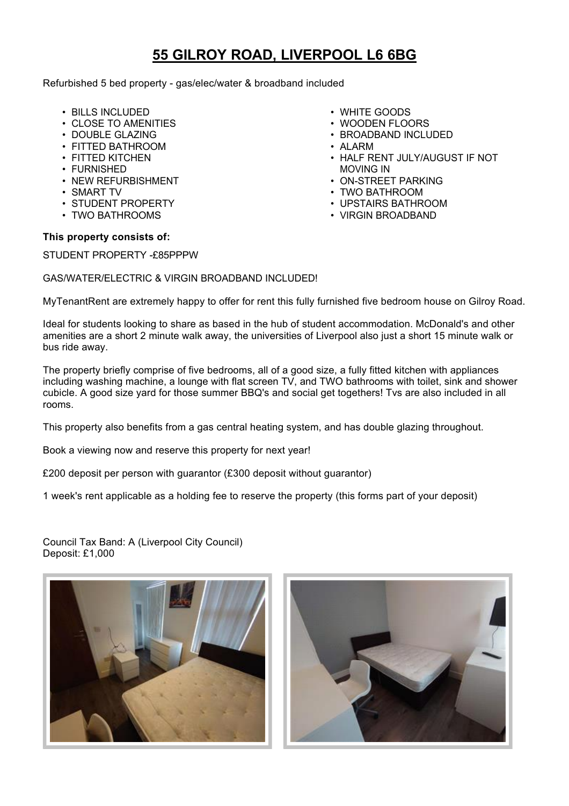## **55 GILROY ROAD, LIVERPOOL L6 6BG**

Refurbished 5 bed property - gas/elec/water & broadband included

- BILLS INCLUDED
- CLOSE TO AMENITIES
- DOUBLE GLAZING
- FITTED BATHROOM
- FITTED KITCHEN
- FURNISHED
- NEW REFURBISHMENT
- SMART TV
- STUDENT PROPERTY
- TWO BATHROOMS

### **This property consists of:**

STUDENT PROPERTY -£85PPPW

- WHITE GOODS
- WOODEN FLOORS
- BROADBAND INCLUDED
- ALARM
- HALF RENT JULY/AUGUST IF NOT MOVING IN
- ON-STREET PARKING
- TWO BATHROOM
- UPSTAIRS BATHROOM
- VIRGIN BROADBAND

### GAS/WATER/ELECTRIC & VIRGIN BROADBAND INCLUDED!

MyTenantRent are extremely happy to offer for rent this fully furnished five bedroom house on Gilroy Road.

Ideal for students looking to share as based in the hub of student accommodation. McDonald's and other amenities are a short 2 minute walk away, the universities of Liverpool also just a short 15 minute walk or bus ride away.

The property briefly comprise of five bedrooms, all of a good size, a fully fitted kitchen with appliances including washing machine, a lounge with flat screen TV, and TWO bathrooms with toilet, sink and shower cubicle. A good size yard for those summer BBQ's and social get togethers! Tvs are also included in all rooms.

This property also benefits from a gas central heating system, and has double glazing throughout.

Book a viewing now and reserve this property for next year!

£200 deposit per person with guarantor (£300 deposit without guarantor)

1 week's rent applicable as a holding fee to reserve the property (this forms part of your deposit)

Council Tax Band: A (Liverpool City Council) Deposit: £1,000



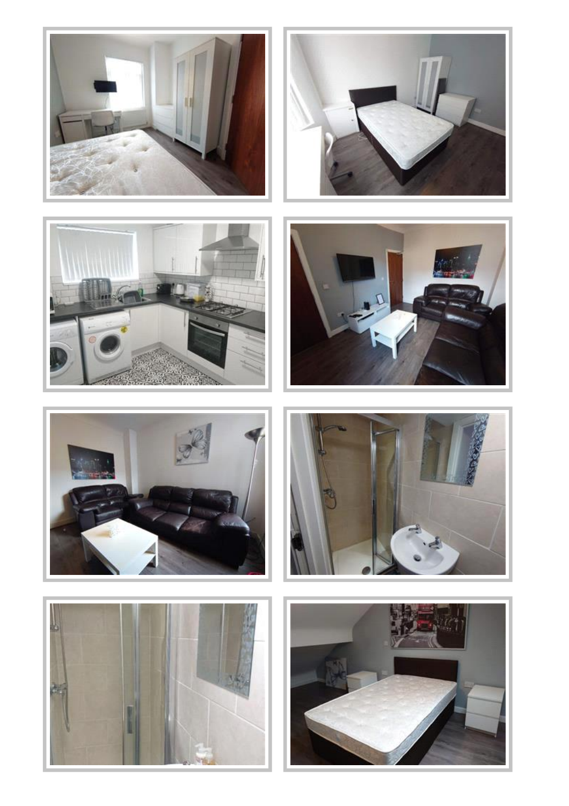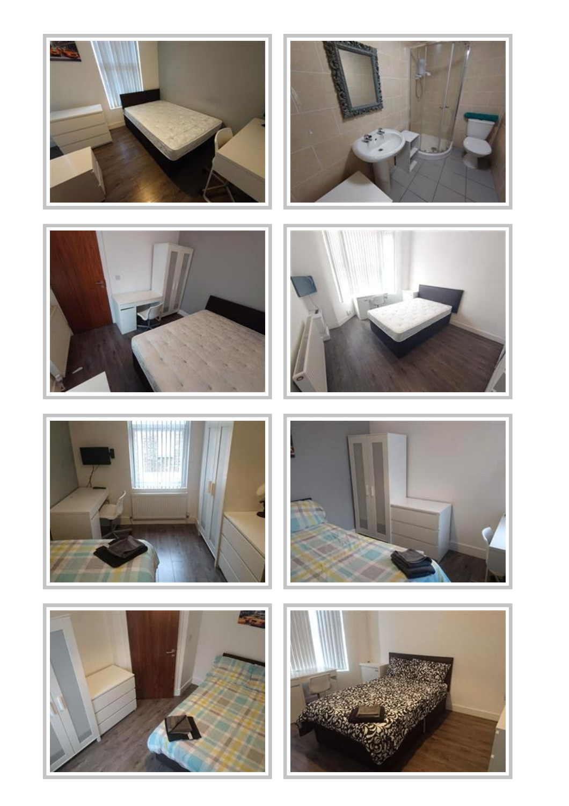